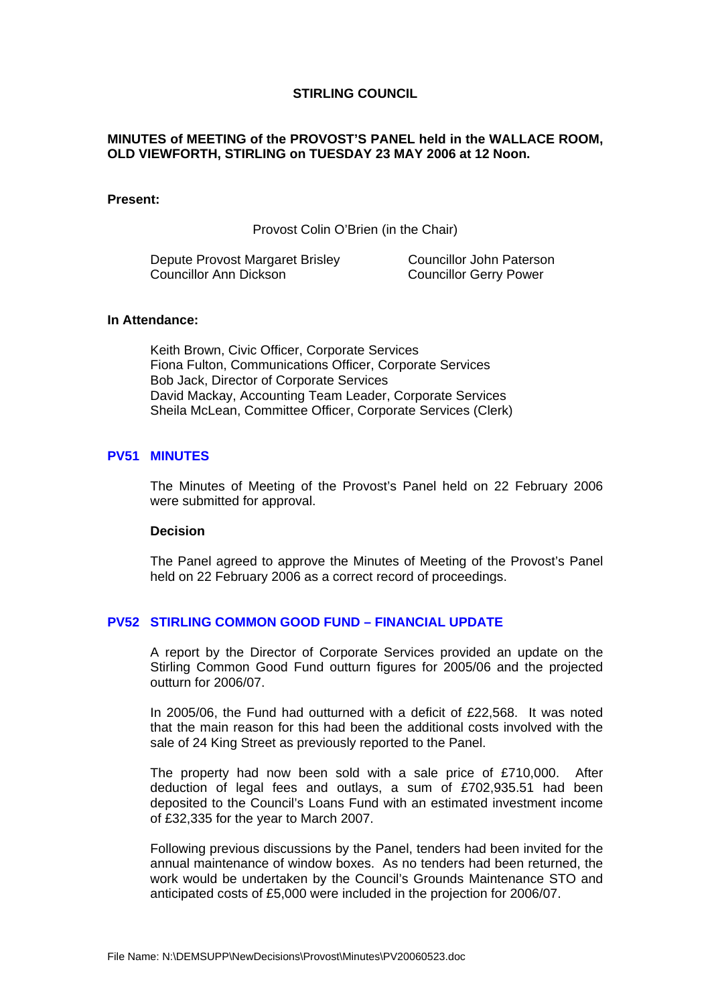## **STIRLING COUNCIL**

# <span id="page-0-0"></span>**MINUTES of MEETING of the PROVOST'S PANEL held in the WALLACE ROOM, OLD VIEWFORTH, STIRLING on TUESDAY 23 MAY 2006 at 12 Noon.**

#### **Present:**

Provost Colin O'Brien (in the Chair)

Depute Provost Margaret Brisley Councillor John Paterson Councillor Ann Dickson Councillor Gerry Power

# **In Attendance:**

Keith Brown, Civic Officer, Corporate Services Fiona Fulton, Communications Officer, Corporate Services Bob Jack, Director of Corporate Services David Mackay, Accounting Team Leader, Corporate Services Sheila McLean, Committee Officer, Corporate Services (Clerk)

#### **PV51 MINUTES**

The Minutes of Meeting of the Provost's Panel held on 22 February 2006 were submitted for approval.

#### **Decision**

The Panel agreed to approve the Minutes of Meeting of the Provost's Panel held on 22 February 2006 as a correct record of proceedings.

# **PV52 STIRLING COMMON GOOD FUND – FINANCIAL UPDATE**

A report by the Director of Corporate Services provided an update on the Stirling Common Good Fund outturn figures for 2005/06 and the projected outturn for 2006/07.

In 2005/06, the Fund had outturned with a deficit of £22,568. It was noted that the main reason for this had been the additional costs involved with the sale of 24 King Street as previously reported to the Panel.

The property had now been sold with a sale price of £710,000. After deduction of legal fees and outlays, a sum of £702,935.51 had been deposited to the Council's Loans Fund with an estimated investment income of £32,335 for the year to March 2007.

Following previous discussions by the Panel, tenders had been invited for the annual maintenance of window boxes. As no tenders had been returned, the work would be undertaken by the Council's Grounds Maintenance STO and anticipated costs of £5,000 were included in the projection for 2006/07.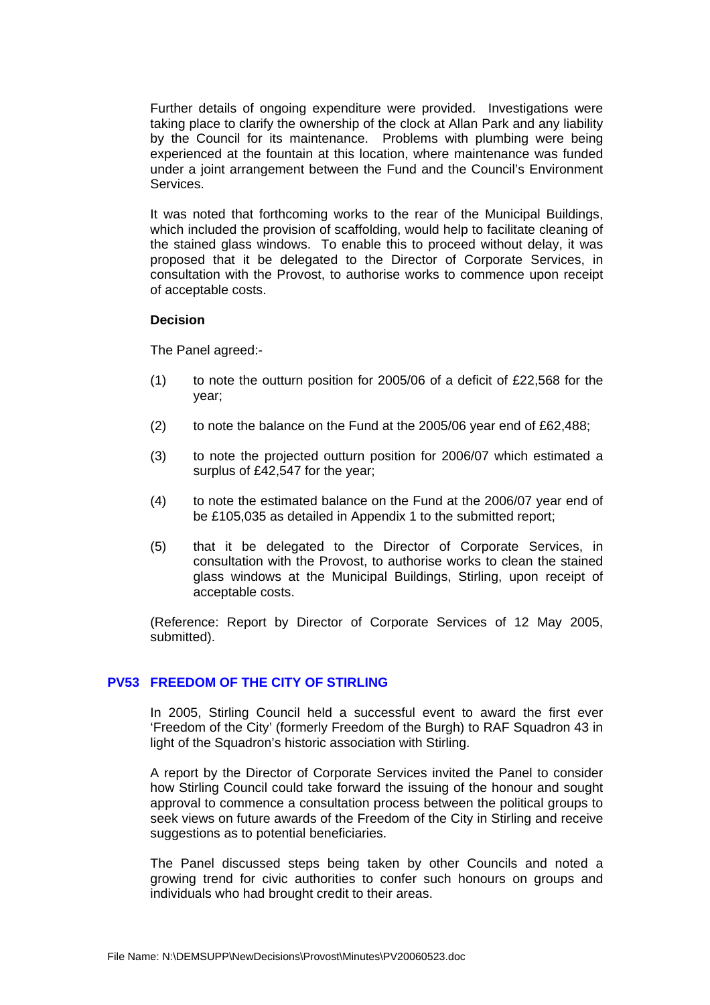Further details of ongoing expenditure were provided. Investigations were taking place to clarify the ownership of the clock at Allan Park and any liability by the Council for its maintenance. Problems with plumbing were being experienced at the fountain at this location, where maintenance was funded under a joint arrangement between the Fund and the Council's Environment Services.

It was noted that forthcoming works to the rear of the Municipal Buildings, which included the provision of scaffolding, would help to facilitate cleaning of the stained glass windows. To enable this to proceed without delay, it was proposed that it be delegated to the Director of Corporate Services, in consultation with the Provost, to authorise works to commence upon receipt of acceptable costs.

### **Decision**

The Panel agreed:-

- (1) to note the outturn position for 2005/06 of a deficit of  $£22,568$  for the year;
- (2) to note the balance on the Fund at the 2005/06 year end of £62,488;
- (3) to note the projected outturn position for 2006/07 which estimated a surplus of £42,547 for the year;
- (4) to note the estimated balance on the Fund at the 2006/07 year end of be £105,035 as detailed in Appendix 1 to the submitted report;
- (5) that it be delegated to the Director of Corporate Services, in consultation with the Provost, to authorise works to clean the stained glass windows at the Municipal Buildings, Stirling, upon receipt of acceptable costs.

(Reference: Report by Director of Corporate Services of 12 May 2005, submitted).

# **[PV53 FREEDOM OF THE CITY OF STIRLING](#page-0-0)**

In 2005, Stirling Council held a successful event to award the first ever 'Freedom of the City' (formerly Freedom of the Burgh) to RAF Squadron 43 in light of the Squadron's historic association with Stirling.

A report by the Director of Corporate Services invited the Panel to consider how Stirling Council could take forward the issuing of the honour and sought approval to commence a consultation process between the political groups to seek views on future awards of the Freedom of the City in Stirling and receive suggestions as to potential beneficiaries.

The Panel discussed steps being taken by other Councils and noted a growing trend for civic authorities to confer such honours on groups and individuals who had brought credit to their areas.